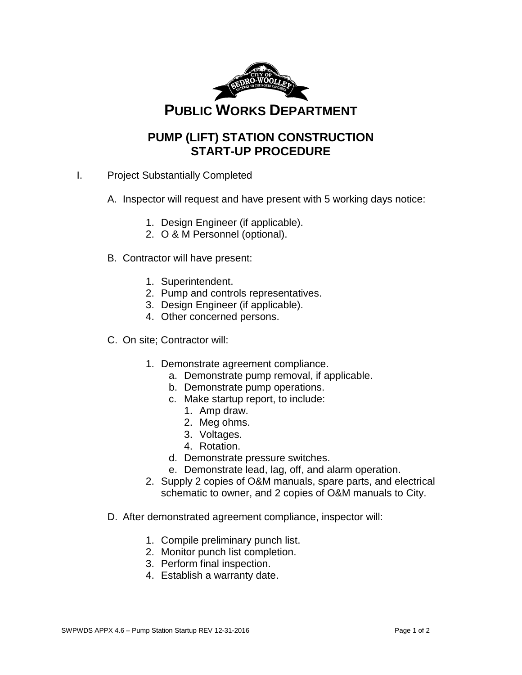

## **PUMP (LIFT) STATION CONSTRUCTION START-UP PROCEDURE**

- I. Project Substantially Completed
	- A. Inspector will request and have present with 5 working days notice:
		- 1. Design Engineer (if applicable).
		- 2. O & M Personnel (optional).
	- B. Contractor will have present:
		- 1. Superintendent.
		- 2. Pump and controls representatives.
		- 3. Design Engineer (if applicable).
		- 4. Other concerned persons.
	- C. On site; Contractor will:
		- 1. Demonstrate agreement compliance.
			- a. Demonstrate pump removal, if applicable.
			- b. Demonstrate pump operations.
			- c. Make startup report, to include:
				- 1. Amp draw.
				- 2. Meg ohms.
				- 3. Voltages.
				- 4. Rotation.
			- d. Demonstrate pressure switches.
			- e. Demonstrate lead, lag, off, and alarm operation.
		- 2. Supply 2 copies of O&M manuals, spare parts, and electrical schematic to owner, and 2 copies of O&M manuals to City.
	- D. After demonstrated agreement compliance, inspector will:
		- 1. Compile preliminary punch list.
		- 2. Monitor punch list completion.
		- 3. Perform final inspection.
		- 4. Establish a warranty date.